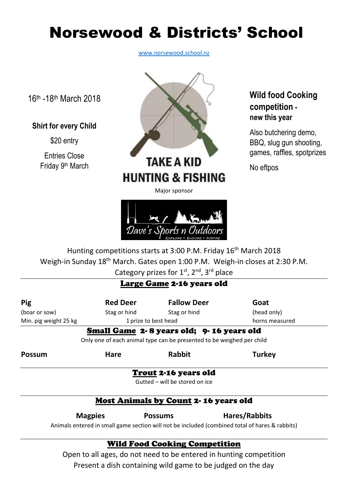# Norsewood & Districts' School

[www.norsewood.school.nz](http://www.norsewood.school.nz/)

16th -18th March 2018

## **Shirt for every Child**

\$20 entry

Entries Close Friday 9th March



**HUNTING & FISHING** 

[Major sponsor](http://www.norsewood.school.nz/)



## **Wild food Cooking competition new this year**

Also butchering demo, BBQ, slug gun shooting, games, raffles, spotprizes

No eftpos

Hunting competitions starts at 3:00 P.M. Friday 16<sup>th</sup> March 2018 Weigh-in Sunday 18th March. Gates open 1:00 P.M. Weigh-in closes at 2:30 P.M. Category prizes for  $1^{st}$ ,  $2^{nd}$ ,  $3^{rd}$  place

## Large Game 2-16 years old

| <b>Pig</b>            | <b>Red Deer</b> | <b>Fallow Deer</b>                                                    | Goat<br>(head only)<br>horns measured |  |
|-----------------------|-----------------|-----------------------------------------------------------------------|---------------------------------------|--|
| (boar or sow)         | Stag or hind    | Stag or hind                                                          |                                       |  |
| Min. pig weight 25 kg |                 | 1 prize to best head                                                  |                                       |  |
|                       |                 | <b>Small Game 2-8 years old; 9-16 years old</b>                       |                                       |  |
|                       |                 | Only one of each animal type can be presented to be weighed per child |                                       |  |
| <b>Possum</b>         | Hare            | <b>Rabbit</b>                                                         | <b>Turkey</b>                         |  |
|                       |                 | Trout 2-16 years old                                                  |                                       |  |
|                       |                 | Gutted - will be stored on ice                                        |                                       |  |
|                       |                 | Most Animals by Count 2-16 years old                                  |                                       |  |
|                       | <b>Magpies</b>  | <b>Possums</b>                                                        | Hares/Rabbits                         |  |

Animals entered in small game section will not be included (combined total of hares & rabbits)

## Wild Food Cooking Competition

Open to all ages, do not need to be entered in hunting competition Present a dish containing wild game to be judged on the day